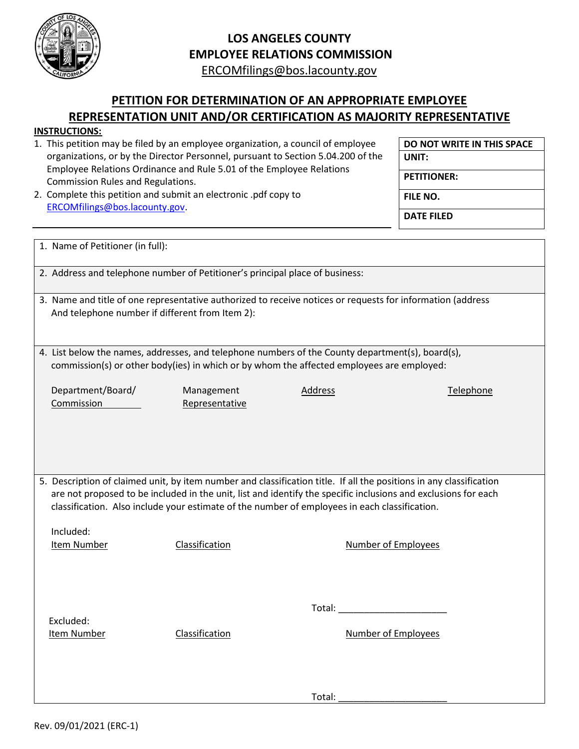

## **LOS ANGELES COUNTY EMPLOYEE RELATIONS COMMISSION**

[ERCOMfilings@bos.lacounty.gov](mailto:ERCOMfilings@bos.lacounty.gov) 

## **PETITION FOR DETERMINATION OF AN APPROPRIATE EMPLOYEE REPRESENTATION UNIT AND/OR CERTIFICATION AS MAJORITY REPRESENTATIVE**

## **INSTRUCTIONS:**

| נושטו וטעוונאז.                                                                                                                                                                                                                       |                |                            |                            |  |
|---------------------------------------------------------------------------------------------------------------------------------------------------------------------------------------------------------------------------------------|----------------|----------------------------|----------------------------|--|
| 1. This petition may be filed by an employee organization, a council of employee                                                                                                                                                      |                |                            | DO NOT WRITE IN THIS SPACE |  |
| organizations, or by the Director Personnel, pursuant to Section 5.04.200 of the                                                                                                                                                      |                |                            | UNIT:                      |  |
| Employee Relations Ordinance and Rule 5.01 of the Employee Relations<br>Commission Rules and Regulations.<br>2. Complete this petition and submit an electronic .pdf copy to                                                          |                | <b>PETITIONER:</b>         |                            |  |
|                                                                                                                                                                                                                                       |                | FILE NO.                   |                            |  |
| ERCOMfilings@bos.lacounty.gov.                                                                                                                                                                                                        |                |                            | <b>DATE FILED</b>          |  |
|                                                                                                                                                                                                                                       |                |                            |                            |  |
| 1. Name of Petitioner (in full):                                                                                                                                                                                                      |                |                            |                            |  |
| 2. Address and telephone number of Petitioner's principal place of business:                                                                                                                                                          |                |                            |                            |  |
| 3. Name and title of one representative authorized to receive notices or requests for information (address                                                                                                                            |                |                            |                            |  |
| And telephone number if different from Item 2):                                                                                                                                                                                       |                |                            |                            |  |
|                                                                                                                                                                                                                                       |                |                            |                            |  |
| 4. List below the names, addresses, and telephone numbers of the County department(s), board(s),                                                                                                                                      |                |                            |                            |  |
| commission(s) or other body(ies) in which or by whom the affected employees are employed:                                                                                                                                             |                |                            |                            |  |
| Department/Board/                                                                                                                                                                                                                     | Management     | Address                    | Telephone                  |  |
| Commission                                                                                                                                                                                                                            | Representative |                            |                            |  |
|                                                                                                                                                                                                                                       |                |                            |                            |  |
|                                                                                                                                                                                                                                       |                |                            |                            |  |
|                                                                                                                                                                                                                                       |                |                            |                            |  |
|                                                                                                                                                                                                                                       |                |                            |                            |  |
| 5. Description of claimed unit, by item number and classification title. If all the positions in any classification<br>are not proposed to be included in the unit, list and identify the specific inclusions and exclusions for each |                |                            |                            |  |
| classification. Also include your estimate of the number of employees in each classification.                                                                                                                                         |                |                            |                            |  |
| Included:                                                                                                                                                                                                                             |                |                            |                            |  |
| <b>Item Number</b>                                                                                                                                                                                                                    | Classification | <b>Number of Employees</b> |                            |  |
|                                                                                                                                                                                                                                       |                |                            |                            |  |
|                                                                                                                                                                                                                                       |                |                            |                            |  |
|                                                                                                                                                                                                                                       |                |                            |                            |  |
| Excluded:                                                                                                                                                                                                                             |                |                            |                            |  |
| Item Number                                                                                                                                                                                                                           | Classification | Number of Employees        |                            |  |
|                                                                                                                                                                                                                                       |                |                            |                            |  |
|                                                                                                                                                                                                                                       |                |                            |                            |  |
|                                                                                                                                                                                                                                       |                | Total:                     |                            |  |
|                                                                                                                                                                                                                                       |                |                            |                            |  |